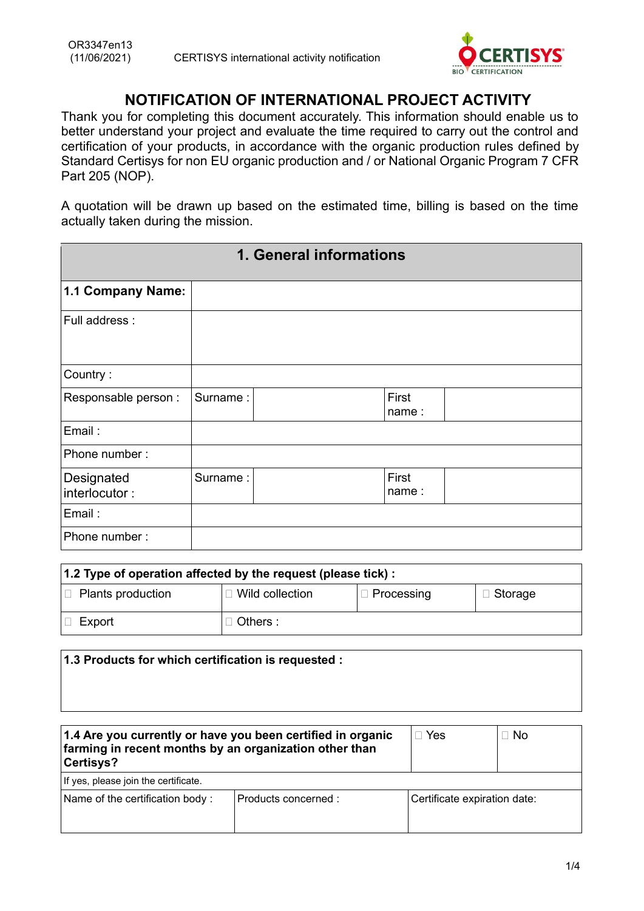

## **NOTIFICATION OF INTERNATIONAL PROJECT ACTIVITY**

Thank you for completing this document accurately. This information should enable us to better understand your project and evaluate the time required to carry out the control and certification of your products, in accordance with the organic production rules defined by Standard Certisys for non EU organic production and / or National Organic Program 7 CFR Part 205 (NOP).

A quotation will be drawn up based on the estimated time, billing is based on the time actually taken during the mission.

| 1. General informations     |          |  |                |  |
|-----------------------------|----------|--|----------------|--|
| 1.1 Company Name:           |          |  |                |  |
| Full address :              |          |  |                |  |
| Country:                    |          |  |                |  |
| Responsable person :        | Surname: |  | First<br>name: |  |
| Email:                      |          |  |                |  |
| Phone number:               |          |  |                |  |
| Designated<br>interlocutor: | Surname: |  | First<br>name: |  |
| Email:                      |          |  |                |  |
| Phone number:               |          |  |                |  |

| 1.2 Type of operation affected by the request (please tick) : |                        |                   |                |
|---------------------------------------------------------------|------------------------|-------------------|----------------|
| $\Box$ Plants production                                      | $\Box$ Wild collection | $\Box$ Processing | $\Box$ Storage |
| Export                                                        | $\supset$ Others :     |                   |                |

| 1.3 Products for which certification is requested :                                                                                |            |           |
|------------------------------------------------------------------------------------------------------------------------------------|------------|-----------|
| 1.4 Are you currently or have you been certified in organic<br>farming in recent months by an organization other than<br>Certisys? | $\Box$ Yes | $\Box$ No |

| If yes, please join the certificate. |                     |                              |
|--------------------------------------|---------------------|------------------------------|
| Name of the certification body:      | Products concerned: | Certificate expiration date: |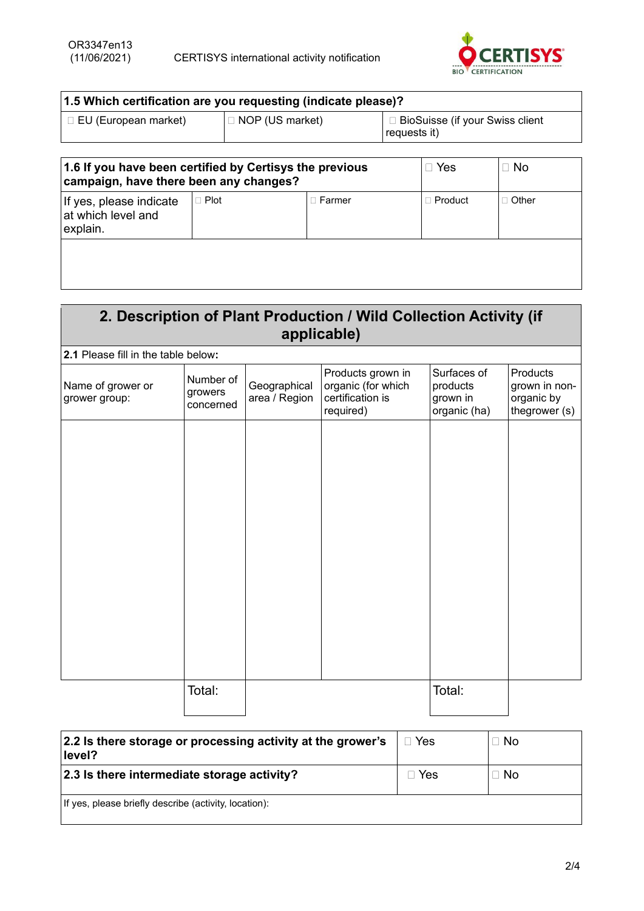

| 1.5 Which certification are you requesting (indicate please)? |                        |                                                   |  |
|---------------------------------------------------------------|------------------------|---------------------------------------------------|--|
| □ EU (European market)                                        | $\Box$ NOP (US market) | □ BioSuisse (if your Swiss client<br>requests it) |  |

| 1.6 If you have been certified by Certisys the previous<br>campaign, have there been any changes? |             |               | ∟ Yes          | $\Box$ No    |
|---------------------------------------------------------------------------------------------------|-------------|---------------|----------------|--------------|
| If yes, please indicate<br>at which level and<br>explain.                                         | $\Box$ Plot | $\Box$ Farmer | $\Box$ Product | $\Box$ Other |
|                                                                                                   |             |               |                |              |

## **2. Description of Plant Production / Wild Collection Activity (if applicable)**

| 2.1 Please fill in the table below: |                                   |                               |                                                                          |                                                     |                                                          |
|-------------------------------------|-----------------------------------|-------------------------------|--------------------------------------------------------------------------|-----------------------------------------------------|----------------------------------------------------------|
| Name of grower or<br>grower group:  | Number of<br>growers<br>concerned | Geographical<br>area / Region | Products grown in<br>organic (for which<br>certification is<br>required) | Surfaces of<br>products<br>grown in<br>organic (ha) | Products<br>grown in non-<br>organic by<br>thegrower (s) |
|                                     |                                   |                               |                                                                          |                                                     |                                                          |
|                                     |                                   |                               |                                                                          |                                                     |                                                          |
|                                     |                                   |                               |                                                                          |                                                     |                                                          |
|                                     |                                   |                               |                                                                          |                                                     |                                                          |
|                                     |                                   |                               |                                                                          |                                                     |                                                          |
|                                     |                                   |                               |                                                                          |                                                     |                                                          |
|                                     | Total:                            |                               |                                                                          | Total:                                              |                                                          |

| 2.2 Is there storage or processing activity at the grower's<br>level? | Yes | $\Box$ No |
|-----------------------------------------------------------------------|-----|-----------|
| 2.3 Is there intermediate storage activity?                           | Yes | $\Box$ No |
| If yes, please briefly describe (activity, location):                 |     |           |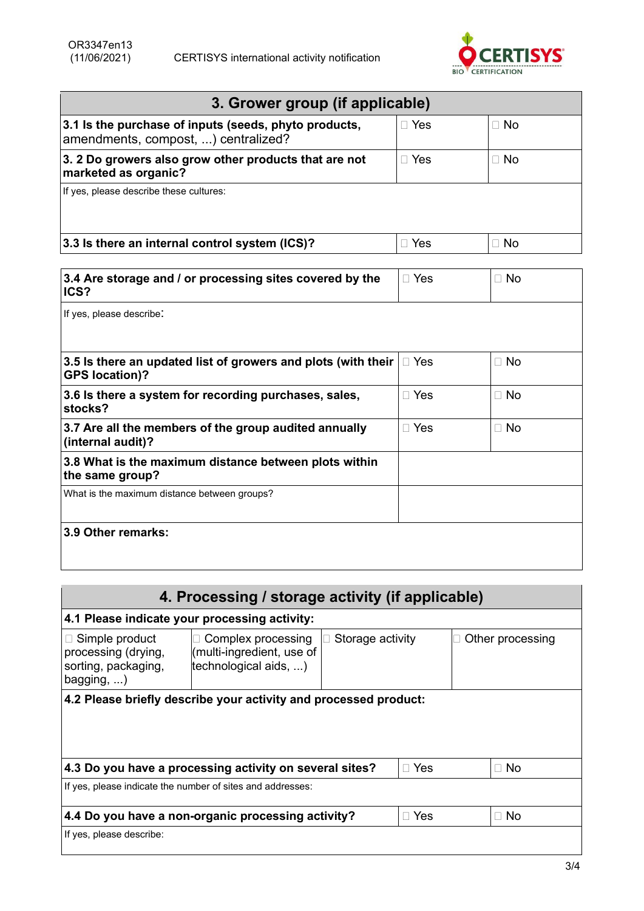

| 3. Grower group (if applicable)                                                              |            |           |  |  |
|----------------------------------------------------------------------------------------------|------------|-----------|--|--|
| 3.1 Is the purchase of inputs (seeds, phyto products,<br>amendments, compost, ) centralized? | $\Box$ Yes | $\Box$ No |  |  |
| 3. 2 Do growers also grow other products that are not<br>marketed as organic?                | Yes        | $\Box$ No |  |  |
| If yes, please describe these cultures:                                                      |            |           |  |  |
| 3.3 Is there an internal control system (ICS)?                                               | $\Box$ Yes | $\Box$ No |  |  |

| 3.4 Are storage and / or processing sites covered by the<br>ICS?                       | $\Box$ Yes | $\Box$ No |
|----------------------------------------------------------------------------------------|------------|-----------|
| If yes, please describe:                                                               |            |           |
| 3.5 is there an updated list of growers and plots (with their<br><b>GPS location)?</b> | $\Box$ Yes | $\Box$ No |
| 3.6 Is there a system for recording purchases, sales,<br>stocks?                       | $\Box$ Yes | $\Box$ No |
| 3.7 Are all the members of the group audited annually<br>(internal audit)?             | $\Box$ Yes | $\Box$ No |
| 3.8 What is the maximum distance between plots within<br>the same group?               |            |           |
| What is the maximum distance between groups?                                           |            |           |
| 3.9 Other remarks:                                                                     |            |           |
|                                                                                        |            |           |

| 4. Processing / storage activity (if applicable)                                          |                                                                               |                  |            |  |                  |
|-------------------------------------------------------------------------------------------|-------------------------------------------------------------------------------|------------------|------------|--|------------------|
| 4.1 Please indicate your processing activity:                                             |                                                                               |                  |            |  |                  |
| $\Box$ Simple product<br>processing (drying,<br>sorting, packaging,<br>$bagging, \ldots)$ | Complex processing<br>П<br>(multi-ingredient, use of<br>technological aids, ) | Storage activity |            |  | Other processing |
| 4.2 Please briefly describe your activity and processed product:                          |                                                                               |                  |            |  |                  |
|                                                                                           | 4.3 Do you have a processing activity on several sites?                       |                  | $\Box$ Yes |  | $\Box$ No        |
| If yes, please indicate the number of sites and addresses:                                |                                                                               |                  |            |  |                  |
| 4.4 Do you have a non-organic processing activity?<br>$\Box$ Yes<br>$\Box$ No             |                                                                               |                  |            |  |                  |
| If yes, please describe:                                                                  |                                                                               |                  |            |  |                  |